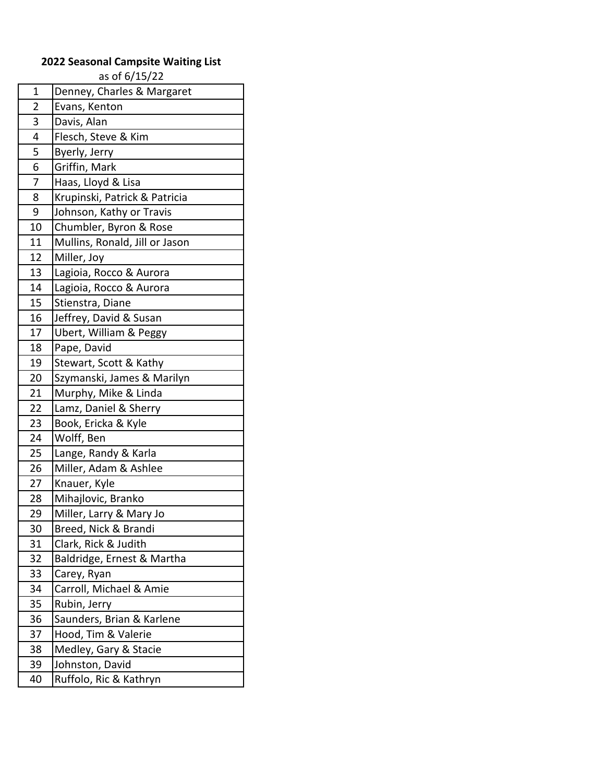## **2022 Seasonal Campsite Waiting List**

as of 6/15/22

| Denney, Charles & Margaret     |
|--------------------------------|
| Evans, Kenton                  |
| Davis, Alan                    |
| Flesch, Steve & Kim            |
| Byerly, Jerry                  |
| Griffin, Mark                  |
| Haas, Lloyd & Lisa             |
| Krupinski, Patrick & Patricia  |
| Johnson, Kathy or Travis       |
| Chumbler, Byron & Rose         |
| Mullins, Ronald, Jill or Jason |
| Miller, Joy                    |
| Lagioia, Rocco & Aurora        |
| Lagioia, Rocco & Aurora        |
| Stienstra, Diane               |
| Jeffrey, David & Susan         |
| Ubert, William & Peggy         |
| Pape, David                    |
| Stewart, Scott & Kathy         |
| Szymanski, James & Marilyn     |
| Murphy, Mike & Linda           |
| Lamz, Daniel & Sherry          |
| Book, Ericka & Kyle            |
| Wolff, Ben                     |
| Lange, Randy & Karla           |
| Miller, Adam & Ashlee          |
| Knauer, Kyle                   |
| Mihajlovic, Branko             |
| Miller, Larry & Mary Jo        |
| Breed, Nick & Brandi           |
| Clark, Rick & Judith           |
| Baldridge, Ernest & Martha     |
| Carey, Ryan                    |
| Carroll, Michael & Amie        |
| Rubin, Jerry                   |
| Saunders, Brian & Karlene      |
| Hood, Tim & Valerie            |
| Medley, Gary & Stacie          |
| Johnston, David                |
| Ruffolo, Ric & Kathryn         |
|                                |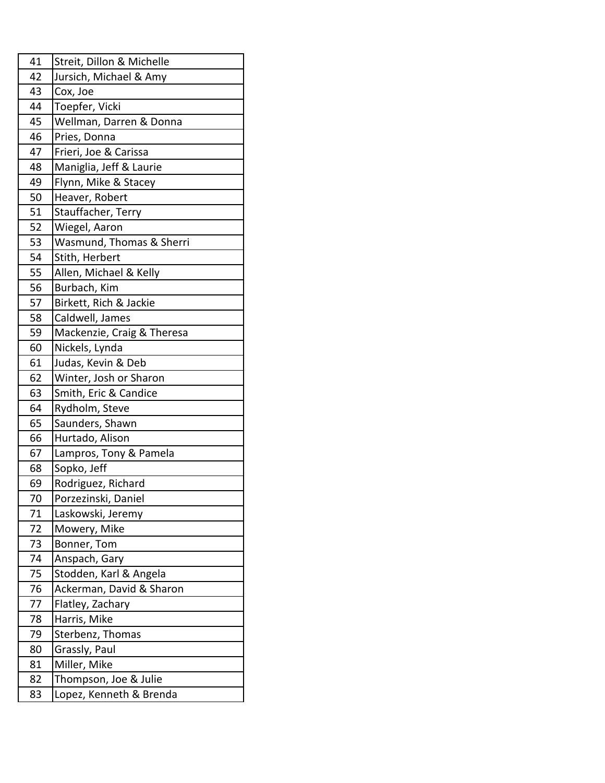| 41 | Streit, Dillon & Michelle  |
|----|----------------------------|
| 42 | Jursich, Michael & Amy     |
| 43 | Cox, Joe                   |
| 44 | Toepfer, Vicki             |
| 45 | Wellman, Darren & Donna    |
| 46 | Pries, Donna               |
| 47 | Frieri, Joe & Carissa      |
| 48 | Maniglia, Jeff & Laurie    |
| 49 | Flynn, Mike & Stacey       |
| 50 | Heaver, Robert             |
| 51 | Stauffacher, Terry         |
| 52 | Wiegel, Aaron              |
| 53 | Wasmund, Thomas & Sherri   |
| 54 | Stith, Herbert             |
| 55 | Allen, Michael & Kelly     |
| 56 | Burbach, Kim               |
| 57 | Birkett, Rich & Jackie     |
| 58 | Caldwell, James            |
| 59 | Mackenzie, Craig & Theresa |
| 60 | Nickels, Lynda             |
| 61 | Judas, Kevin & Deb         |
| 62 | Winter, Josh or Sharon     |
| 63 | Smith, Eric & Candice      |
| 64 | Rydholm, Steve             |
| 65 | Saunders, Shawn            |
| 66 | Hurtado, Alison            |
| 67 | Lampros, Tony & Pamela     |
| 68 | Sopko, Jeff                |
| 69 | Rodriguez, Richard         |
| 70 | Porzezinski, Daniel        |
| 71 | Laskowski, Jeremy          |
| 72 | Mowery, Mike               |
| 73 | Bonner, Tom                |
| 74 | Anspach, Gary              |
| 75 | Stodden, Karl & Angela     |
| 76 | Ackerman, David & Sharon   |
| 77 | Flatley, Zachary           |
| 78 | Harris, Mike               |
| 79 | Sterbenz, Thomas           |
| 80 | Grassly, Paul              |
| 81 | Miller, Mike               |
| 82 | Thompson, Joe & Julie      |
| 83 | Lopez, Kenneth & Brenda    |